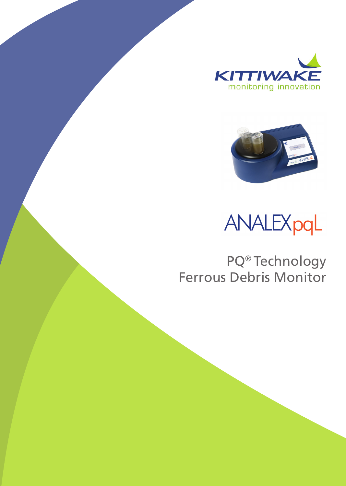



ANALEXpqL

PQ® Technology Ferrous Debris Monitor